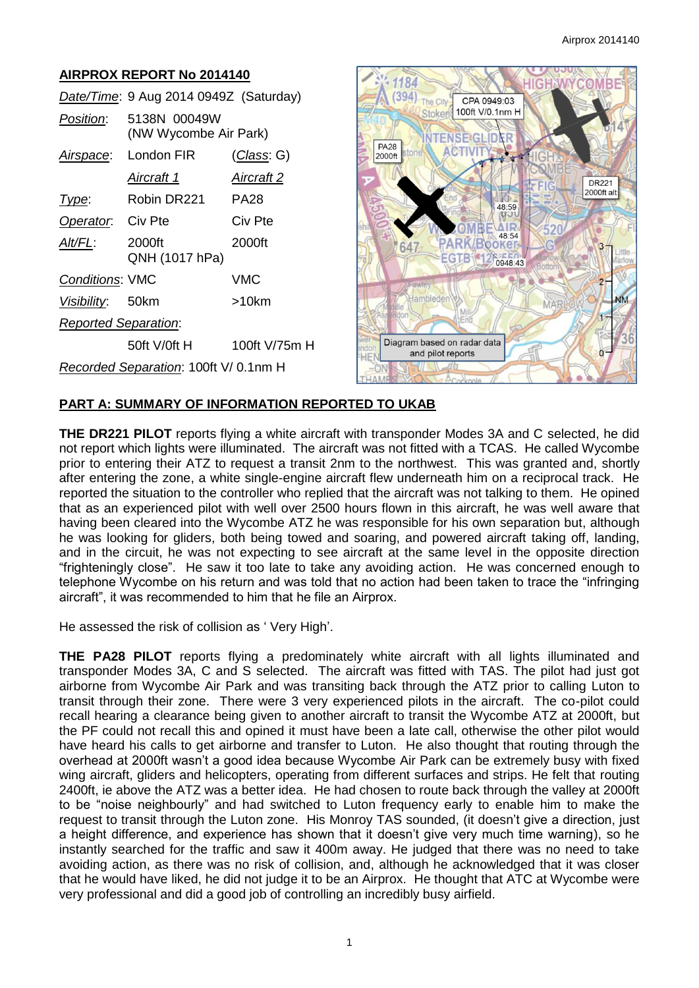#### **AIRPROX REPORT No 2014140** 1184  $(394)$  The City *Date/Time*: 9 Aug 2014 0949Z (Saturday) Stoker *Position*: 5138N 00049W (NW Wycombe Air Park) **PA28** *Airspace*: London FIR (*Class*: G)  $2000<sup>ft</sup>$ *Aircraft 1 Aircraft 2 Type*: Robin DR221 PA28 **Operator:** Civ Pte Civ Pte *Alt/FL*: 2000ft 2000ft 647 QNH (1017 hPa) *Conditions*: VMC VMC

*Visibility*: 50km >10km *Reported Separation*: 50ft V/0ft H 100ft V/75m H *Recorded Separation*: 100ft V/ 0.1nm H



## **PART A: SUMMARY OF INFORMATION REPORTED TO UKAB**

**THE DR221 PILOT** reports flying a white aircraft with transponder Modes 3A and C selected, he did not report which lights were illuminated. The aircraft was not fitted with a TCAS. He called Wycombe prior to entering their ATZ to request a transit 2nm to the northwest. This was granted and, shortly after entering the zone, a white single-engine aircraft flew underneath him on a reciprocal track. He reported the situation to the controller who replied that the aircraft was not talking to them. He opined that as an experienced pilot with well over 2500 hours flown in this aircraft, he was well aware that having been cleared into the Wycombe ATZ he was responsible for his own separation but, although he was looking for gliders, both being towed and soaring, and powered aircraft taking off, landing, and in the circuit, he was not expecting to see aircraft at the same level in the opposite direction "frighteningly close". He saw it too late to take any avoiding action. He was concerned enough to telephone Wycombe on his return and was told that no action had been taken to trace the "infringing aircraft", it was recommended to him that he file an Airprox.

He assessed the risk of collision as ' Very High'.

**THE PA28 PILOT** reports flying a predominately white aircraft with all lights illuminated and transponder Modes 3A, C and S selected. The aircraft was fitted with TAS. The pilot had just got airborne from Wycombe Air Park and was transiting back through the ATZ prior to calling Luton to transit through their zone. There were 3 very experienced pilots in the aircraft. The co-pilot could recall hearing a clearance being given to another aircraft to transit the Wycombe ATZ at 2000ft, but the PF could not recall this and opined it must have been a late call, otherwise the other pilot would have heard his calls to get airborne and transfer to Luton. He also thought that routing through the overhead at 2000ft wasn't a good idea because Wycombe Air Park can be extremely busy with fixed wing aircraft, gliders and helicopters, operating from different surfaces and strips. He felt that routing 2400ft, ie above the ATZ was a better idea. He had chosen to route back through the valley at 2000ft to be "noise neighbourly" and had switched to Luton frequency early to enable him to make the request to transit through the Luton zone. His Monroy TAS sounded, (it doesn't give a direction, just a height difference, and experience has shown that it doesn't give very much time warning), so he instantly searched for the traffic and saw it 400m away. He judged that there was no need to take avoiding action, as there was no risk of collision, and, although he acknowledged that it was closer that he would have liked, he did not judge it to be an Airprox. He thought that ATC at Wycombe were very professional and did a good job of controlling an incredibly busy airfield.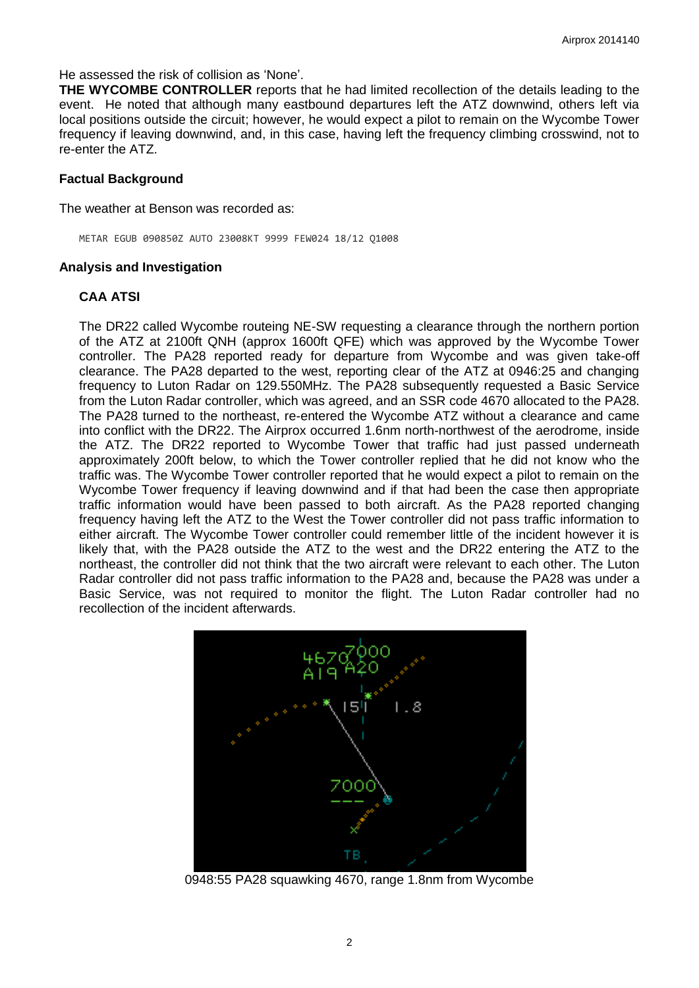He assessed the risk of collision as 'None'.

**THE WYCOMBE CONTROLLER** reports that he had limited recollection of the details leading to the event. He noted that although many eastbound departures left the ATZ downwind, others left via local positions outside the circuit; however, he would expect a pilot to remain on the Wycombe Tower frequency if leaving downwind, and, in this case, having left the frequency climbing crosswind, not to re-enter the ATZ.

#### **Factual Background**

The weather at Benson was recorded as:

METAR EGUB 090850Z AUTO 23008KT 9999 FEW024 18/12 Q1008

#### **Analysis and Investigation**

### **CAA ATSI**

The DR22 called Wycombe routeing NE-SW requesting a clearance through the northern portion of the ATZ at 2100ft QNH (approx 1600ft QFE) which was approved by the Wycombe Tower controller. The PA28 reported ready for departure from Wycombe and was given take-off clearance. The PA28 departed to the west, reporting clear of the ATZ at 0946:25 and changing frequency to Luton Radar on 129.550MHz. The PA28 subsequently requested a Basic Service from the Luton Radar controller, which was agreed, and an SSR code 4670 allocated to the PA28. The PA28 turned to the northeast, re-entered the Wycombe ATZ without a clearance and came into conflict with the DR22. The Airprox occurred 1.6nm north-northwest of the aerodrome, inside the ATZ. The DR22 reported to Wycombe Tower that traffic had just passed underneath approximately 200ft below, to which the Tower controller replied that he did not know who the traffic was. The Wycombe Tower controller reported that he would expect a pilot to remain on the Wycombe Tower frequency if leaving downwind and if that had been the case then appropriate traffic information would have been passed to both aircraft. As the PA28 reported changing frequency having left the ATZ to the West the Tower controller did not pass traffic information to either aircraft. The Wycombe Tower controller could remember little of the incident however it is likely that, with the PA28 outside the ATZ to the west and the DR22 entering the ATZ to the northeast, the controller did not think that the two aircraft were relevant to each other. The Luton Radar controller did not pass traffic information to the PA28 and, because the PA28 was under a Basic Service, was not required to monitor the flight. The Luton Radar controller had no recollection of the incident afterwards.



0948:55 PA28 squawking 4670, range 1.8nm from Wycombe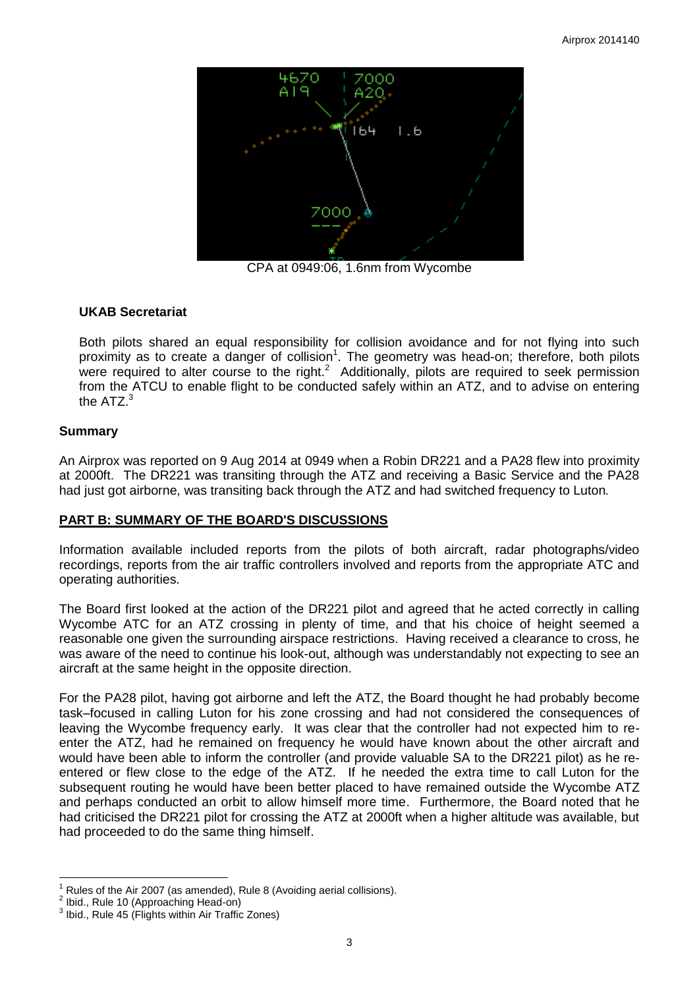

CPA at 0949:06, 1.6nm from Wycombe

# **UKAB Secretariat**

Both pilots shared an equal responsibility for collision avoidance and for not flying into such proximity as to create a danger of collision<sup>1</sup>. The geometry was head-on; therefore, both pilots were required to alter course to the right.<sup>2</sup> Additionally, pilots are required to seek permission from the ATCU to enable flight to be conducted safely within an ATZ, and to advise on entering the  $ATZ<sup>3</sup>$ 

# **Summary**

An Airprox was reported on 9 Aug 2014 at 0949 when a Robin DR221 and a PA28 flew into proximity at 2000ft. The DR221 was transiting through the ATZ and receiving a Basic Service and the PA28 had just got airborne, was transiting back through the ATZ and had switched frequency to Luton*.*

## **PART B: SUMMARY OF THE BOARD'S DISCUSSIONS**

Information available included reports from the pilots of both aircraft, radar photographs/video recordings, reports from the air traffic controllers involved and reports from the appropriate ATC and operating authorities.

The Board first looked at the action of the DR221 pilot and agreed that he acted correctly in calling Wycombe ATC for an ATZ crossing in plenty of time, and that his choice of height seemed a reasonable one given the surrounding airspace restrictions. Having received a clearance to cross, he was aware of the need to continue his look-out, although was understandably not expecting to see an aircraft at the same height in the opposite direction.

For the PA28 pilot, having got airborne and left the ATZ, the Board thought he had probably become task–focused in calling Luton for his zone crossing and had not considered the consequences of leaving the Wycombe frequency early. It was clear that the controller had not expected him to reenter the ATZ, had he remained on frequency he would have known about the other aircraft and would have been able to inform the controller (and provide valuable SA to the DR221 pilot) as he reentered or flew close to the edge of the ATZ. If he needed the extra time to call Luton for the subsequent routing he would have been better placed to have remained outside the Wycombe ATZ and perhaps conducted an orbit to allow himself more time. Furthermore, the Board noted that he had criticised the DR221 pilot for crossing the ATZ at 2000ft when a higher altitude was available, but had proceeded to do the same thing himself.

 $\overline{a}$ Rules of the Air 2007 (as amended), Rule 8 (Avoiding aerial collisions).

<sup>2</sup> Ibid., Rule 10 (Approaching Head-on)

<sup>&</sup>lt;sup>3</sup> Ibid., Rule 45 (Flights within Air Traffic Zones)